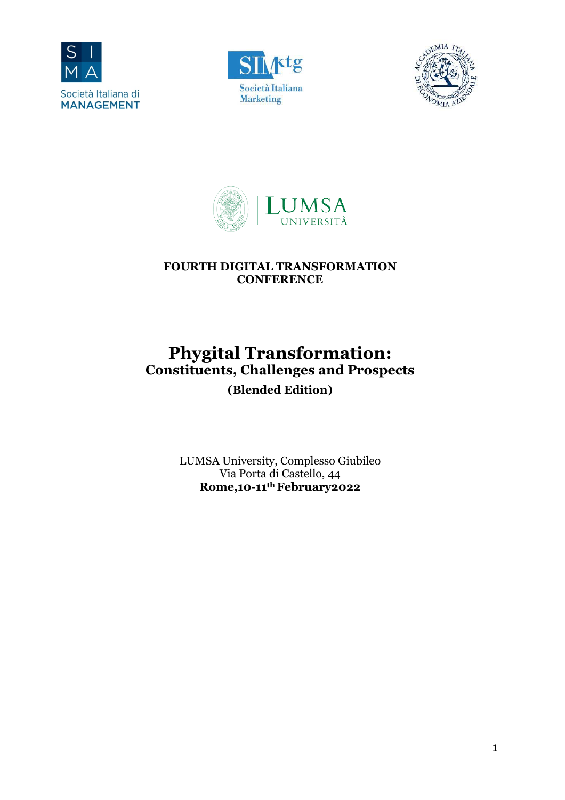







# **FOURTH DIGITAL TRANSFORMATION CONFERENCE**

# **Phygital Transformation: Constituents, Challenges and Prospects (Blended Edition)**

LUMSA University, Complesso Giubileo Via Porta di Castello, 44 **Rome,10-11th February2022**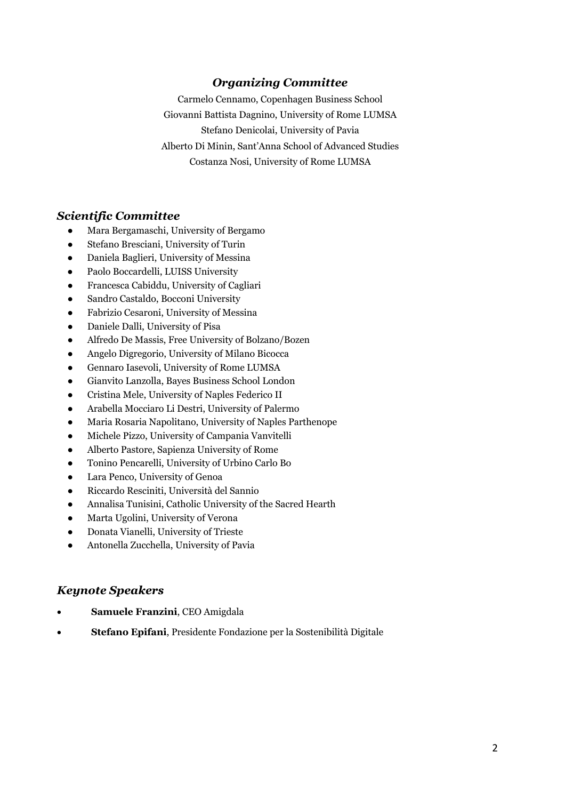# *Organizing Committee*

Carmelo Cennamo, Copenhagen Business School Giovanni Battista Dagnino, University of Rome LUMSA Stefano Denicolai, University of Pavia Alberto Di Minin, Sant'Anna School of Advanced Studies Costanza Nosi, University of Rome LUMSA

#### *Scientific Committee*

- Mara Bergamaschi, University of Bergamo
- Stefano Bresciani, University of Turin
- Daniela Baglieri, University of Messina
- Paolo Boccardelli, LUISS University
- Francesca Cabiddu, University of Cagliari
- Sandro Castaldo, Bocconi University
- Fabrizio Cesaroni, University of Messina
- Daniele Dalli, University of Pisa
- Alfredo De Massis, Free University of Bolzano/Bozen
- Angelo Digregorio, University of Milano Bicocca
- Gennaro Iasevoli, University of Rome LUMSA
- Gianvito Lanzolla, Bayes Business School London
- Cristina Mele, University of Naples Federico II
- Arabella Mocciaro Li Destri, University of Palermo
- Maria Rosaria Napolitano, University of Naples Parthenope
- Michele Pizzo, University of Campania Vanvitelli
- Alberto Pastore, Sapienza University of Rome
- Tonino Pencarelli, University of Urbino Carlo Bo
- Lara Penco, University of Genoa
- Riccardo Resciniti, Università del Sannio
- Annalisa Tunisini, Catholic University of the Sacred Hearth
- Marta Ugolini, University of Verona
- Donata Vianelli, University of Trieste
- Antonella Zucchella, University of Pavia

#### *Keynote Speakers*

- **Samuele Franzini**, CEO Amigdala
- **Stefano Epifani**, Presidente Fondazione per la Sostenibilità Digitale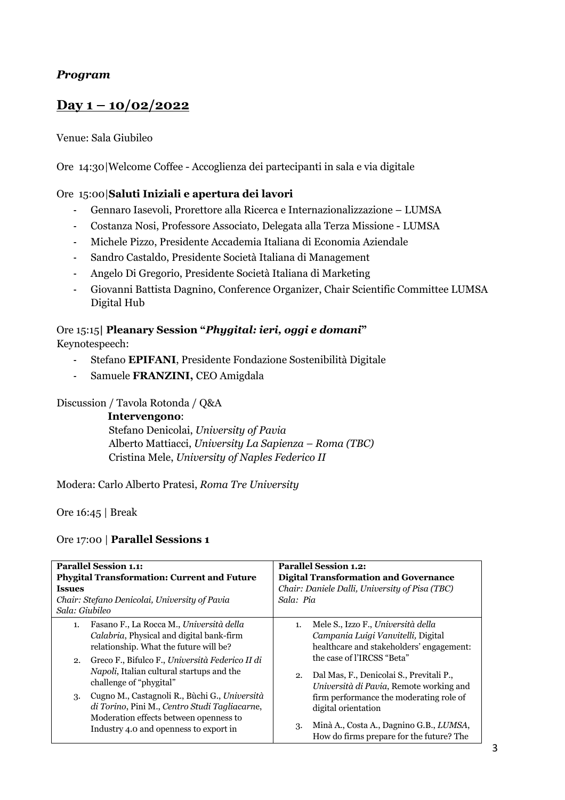### *Program*

# **Day 1 – 10/02/2022**

#### Venue: Sala Giubileo

Ore 14:30|Welcome Coffee - Accoglienza dei partecipanti in sala e via digitale

#### Ore 15:00|**Saluti Iniziali e apertura dei lavori**

- Gennaro Iasevoli, Prorettore alla Ricerca e Internazionalizzazione LUMSA
- Costanza Nosi, Professore Associato, Delegata alla Terza Missione LUMSA
- Michele Pizzo, Presidente Accademia Italiana di Economia Aziendale
- Sandro Castaldo, Presidente Società Italiana di Management
- Angelo Di Gregorio, Presidente Società Italiana di Marketing
- Giovanni Battista Dagnino, Conference Organizer, Chair Scientific Committee LUMSA Digital Hub

#### Ore 15:15**| Pleanary Session "***Phygital: ieri, oggi e domani***"** Keynotespeech:

- Stefano **EPIFANI**, Presidente Fondazione Sostenibilità Digitale
- Samuele **FRANZINI,** CEO Amigdala

Discussion / Tavola Rotonda / Q&A

**Intervengono**: Stefano Denicolai, *University of Pavia*  Alberto Mattiacci, *University La Sapienza – Roma (TBC)* Cristina Mele, *University of Naples Federico II*

Modera: Carlo Alberto Pratesi, *Roma Tre University*

Ore 16:45 | Break

#### Ore 17:00 | **Parallel Sessions 1**

| <b>Parallel Session 1.1:</b>                       |                                                                                                                                                                                    | <b>Parallel Session 1.2:</b>                   |                                                                                     |  |  |  |  |
|----------------------------------------------------|------------------------------------------------------------------------------------------------------------------------------------------------------------------------------------|------------------------------------------------|-------------------------------------------------------------------------------------|--|--|--|--|
| <b>Phygital Transformation: Current and Future</b> |                                                                                                                                                                                    | <b>Digital Transformation and Governance</b>   |                                                                                     |  |  |  |  |
| <b>Issues</b>                                      |                                                                                                                                                                                    | Chair: Daniele Dalli, University of Pisa (TBC) |                                                                                     |  |  |  |  |
| Chair: Stefano Denicolai, University of Pavia      |                                                                                                                                                                                    | Sala: Pia                                      |                                                                                     |  |  |  |  |
| Sala: Giubileo                                     |                                                                                                                                                                                    |                                                |                                                                                     |  |  |  |  |
| 1.                                                 | Fasano F., La Rocca M., Università della                                                                                                                                           | 1.                                             | Mele S., Izzo F., Università della                                                  |  |  |  |  |
|                                                    | Calabria, Physical and digital bank-firm                                                                                                                                           |                                                | Campania Luigi Vanvitelli, Digital                                                  |  |  |  |  |
|                                                    | relationship. What the future will be?                                                                                                                                             |                                                | healthcare and stakeholders' engagement:                                            |  |  |  |  |
| 2.                                                 | Greco F., Bifulco F., Università Federico II di                                                                                                                                    |                                                | the case of l'IRCSS "Beta"                                                          |  |  |  |  |
|                                                    | <i>Napoli</i> , Italian cultural startups and the<br>challenge of "phygital"                                                                                                       | 2.                                             | Dal Mas, F., Denicolai S., Previtali P.,<br>Università di Pavia, Remote working and |  |  |  |  |
| 3.                                                 | Cugno M., Castagnoli R., Bùchi G., Università<br>di Torino, Pini M., Centro Studi Tagliacarne,<br>Moderation effects between openness to<br>Industry 4.0 and openness to export in |                                                | firm performance the moderating role of                                             |  |  |  |  |
|                                                    |                                                                                                                                                                                    |                                                | digital orientation                                                                 |  |  |  |  |
|                                                    |                                                                                                                                                                                    | 3.                                             | Minà A., Costa A., Dagnino G.B., LUMSA,<br>How do firms prepare for the future? The |  |  |  |  |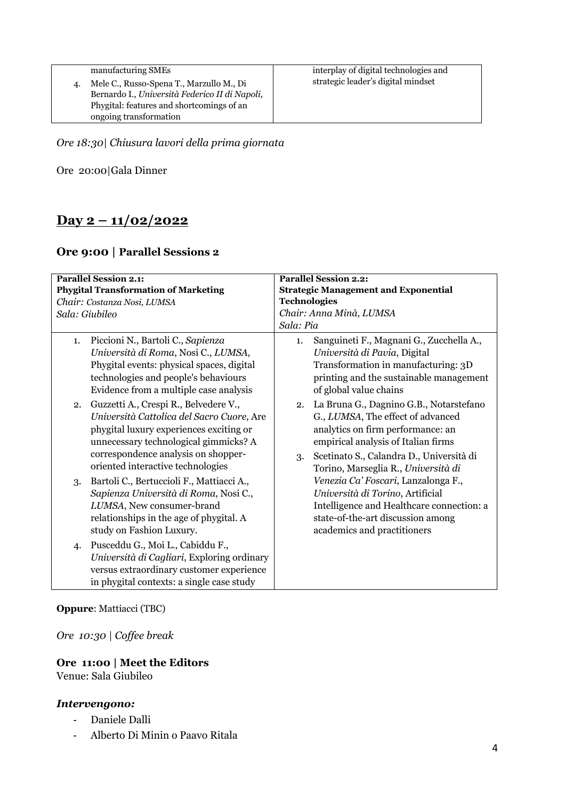| manufacturing SMEs                             | interplay of digital technologies and |
|------------------------------------------------|---------------------------------------|
| Mele C., Russo-Spena T., Marzullo M., Di       | strategic leader's digital mindset    |
| Bernardo I., Università Federico II di Napoli, |                                       |
| Phygital: features and shortcomings of an      |                                       |
| ongoing transformation                         |                                       |

*Ore 18:30| Chiusura lavori della prima giornata*

Ore 20:00|Gala Dinner

# **Day 2 – 11/02/2022**

# **Ore 9:00 | Parallel Sessions 2**

| <b>Parallel Session 2.1:</b>                |                                                                                                                                                                                                                             | <b>Parallel Session 2.2:</b>                |                                                                                                                                                                                                                                                                                                                                                                                                                                         |  |  |
|---------------------------------------------|-----------------------------------------------------------------------------------------------------------------------------------------------------------------------------------------------------------------------------|---------------------------------------------|-----------------------------------------------------------------------------------------------------------------------------------------------------------------------------------------------------------------------------------------------------------------------------------------------------------------------------------------------------------------------------------------------------------------------------------------|--|--|
| <b>Phygital Transformation of Marketing</b> |                                                                                                                                                                                                                             | <b>Strategic Management and Exponential</b> |                                                                                                                                                                                                                                                                                                                                                                                                                                         |  |  |
| Chair: Costanza Nosi, LUMSA                 |                                                                                                                                                                                                                             | <b>Technologies</b>                         |                                                                                                                                                                                                                                                                                                                                                                                                                                         |  |  |
| Sala: Giubileo                              |                                                                                                                                                                                                                             | Chair: Anna Minà, LUMSA                     |                                                                                                                                                                                                                                                                                                                                                                                                                                         |  |  |
|                                             |                                                                                                                                                                                                                             | Sala: Pia                                   |                                                                                                                                                                                                                                                                                                                                                                                                                                         |  |  |
| 1.                                          | Piccioni N., Bartoli C., Sapienza<br>Università di Roma, Nosi C., LUMSA,<br>Phygital events: physical spaces, digital<br>technologies and people's behaviours<br>Evidence from a multiple case analysis                     | 1.                                          | Sanguineti F., Magnani G., Zucchella A.,<br>Università di Pavia, Digital<br>Transformation in manufacturing: 3D<br>printing and the sustainable management<br>of global value chains                                                                                                                                                                                                                                                    |  |  |
| 2.                                          | Guzzetti A., Crespi R., Belvedere V.,<br>Università Cattolica del Sacro Cuore, Are<br>phygital luxury experiences exciting or<br>unnecessary technological gimmicks? A<br>correspondence analysis on shopper-               | 2.<br>3.                                    | La Bruna G., Dagnino G.B., Notarstefano<br>G., LUMSA, The effect of advanced<br>analytics on firm performance: an<br>empirical analysis of Italian firms<br>Scetinato S., Calandra D., Università di<br>Torino, Marseglia R., Università di<br>Venezia Ca' Foscari, Lanzalonga F.,<br>Università di Torino, Artificial<br>Intelligence and Healthcare connection: a<br>state-of-the-art discussion among<br>academics and practitioners |  |  |
| 3.                                          | oriented interactive technologies<br>Bartoli C., Bertuccioli F., Mattiacci A.,<br>Sapienza Università di Roma, Nosi C.,<br>LUMSA, New consumer-brand<br>relationships in the age of phygital. A<br>study on Fashion Luxury. |                                             |                                                                                                                                                                                                                                                                                                                                                                                                                                         |  |  |
| 4.                                          | Pusceddu G., Moi L., Cabiddu F.,<br>Università di Cagliari, Exploring ordinary<br>versus extraordinary customer experience<br>in phygital contexts: a single case study                                                     |                                             |                                                                                                                                                                                                                                                                                                                                                                                                                                         |  |  |

#### **Oppure**: Mattiacci (TBC)

*Ore 10:30 | Coffee break*

### **Ore 11:00 | Meet the Editors**

Venue: Sala Giubileo

#### *Intervengono:*

- Daniele Dalli
- Alberto Di Minin o Paavo Ritala